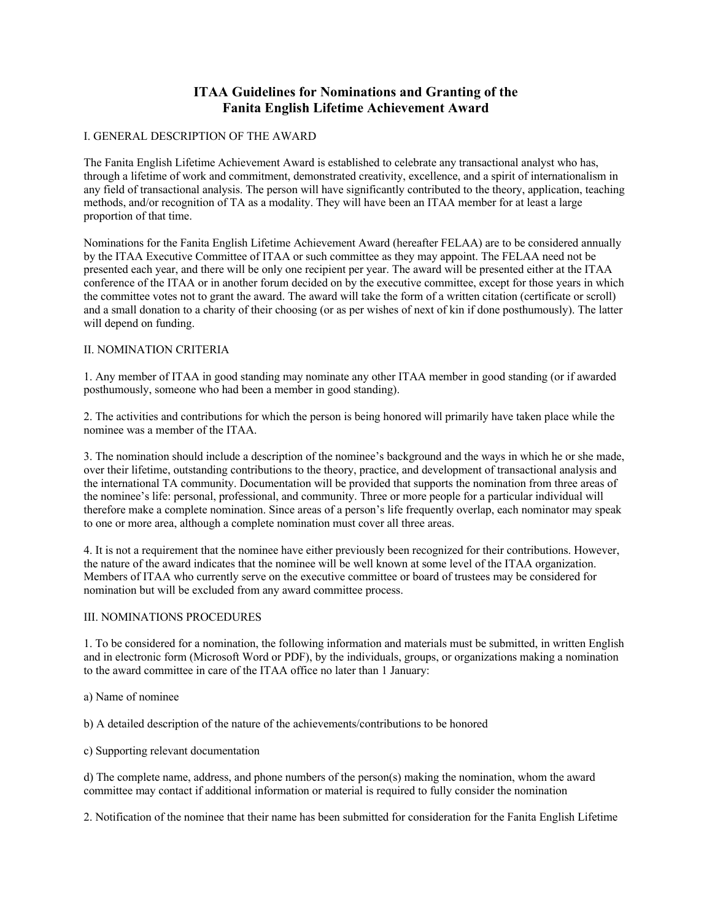# **ITAA Guidelines for Nominations and Granting of the Fanita English Lifetime Achievement Award**

## I. GENERAL DESCRIPTION OF THE AWARD

The Fanita English Lifetime Achievement Award is established to celebrate any transactional analyst who has, through a lifetime of work and commitment, demonstrated creativity, excellence, and a spirit of internationalism in any field of transactional analysis. The person will have significantly contributed to the theory, application, teaching methods, and/or recognition of TA as a modality. They will have been an ITAA member for at least a large proportion of that time.

Nominations for the Fanita English Lifetime Achievement Award (hereafter FELAA) are to be considered annually by the ITAA Executive Committee of ITAA or such committee as they may appoint. The FELAA need not be presented each year, and there will be only one recipient per year. The award will be presented either at the ITAA conference of the ITAA or in another forum decided on by the executive committee, except for those years in which the committee votes not to grant the award. The award will take the form of a written citation (certificate or scroll) and a small donation to a charity of their choosing (or as per wishes of next of kin if done posthumously). The latter will depend on funding.

#### II. NOMINATION CRITERIA

1. Any member of ITAA in good standing may nominate any other ITAA member in good standing (or if awarded posthumously, someone who had been a member in good standing).

2. The activities and contributions for which the person is being honored will primarily have taken place while the nominee was a member of the ITAA.

3. The nomination should include a description of the nominee's background and the ways in which he or she made, over their lifetime, outstanding contributions to the theory, practice, and development of transactional analysis and the international TA community. Documentation will be provided that supports the nomination from three areas of the nominee's life: personal, professional, and community. Three or more people for a particular individual will therefore make a complete nomination. Since areas of a person's life frequently overlap, each nominator may speak to one or more area, although a complete nomination must cover all three areas.

4. It is not a requirement that the nominee have either previously been recognized for their contributions. However, the nature of the award indicates that the nominee will be well known at some level of the ITAA organization. Members of ITAA who currently serve on the executive committee or board of trustees may be considered for nomination but will be excluded from any award committee process.

#### III. NOMINATIONS PROCEDURES

1. To be considered for a nomination, the following information and materials must be submitted, in written English and in electronic form (Microsoft Word or PDF), by the individuals, groups, or organizations making a nomination to the award committee in care of the ITAA office no later than 1 January:

a) Name of nominee

b) A detailed description of the nature of the achievements/contributions to be honored

c) Supporting relevant documentation

d) The complete name, address, and phone numbers of the person(s) making the nomination, whom the award committee may contact if additional information or material is required to fully consider the nomination

2. Notification of the nominee that their name has been submitted for consideration for the Fanita English Lifetime